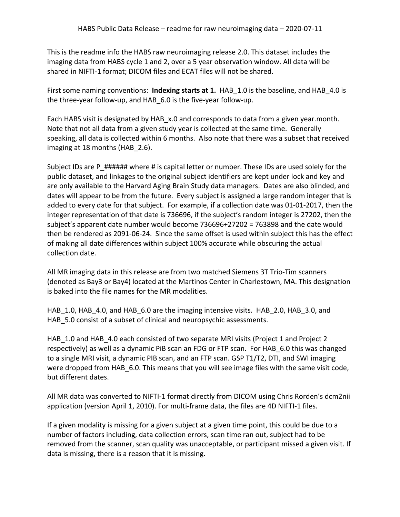This is the readme info the HABS raw neuroimaging release 2.0. This dataset includes the imaging data from HABS cycle 1 and 2, over a 5 year observation window. All data will be shared in NIFTI-1 format; DICOM files and ECAT files will not be shared.

First some naming conventions: **Indexing starts at 1.** HAB\_1.0 is the baseline, and HAB\_4.0 is the three-year follow-up, and HAB\_6.0 is the five-year follow-up.

Each HABS visit is designated by HAB x.0 and corresponds to data from a given year.month. Note that not all data from a given study year is collected at the same time. Generally speaking, all data is collected within 6 months. Also note that there was a subset that received imaging at 18 months (HAB 2.6).

Subject IDs are P ###### where # is capital letter or number. These IDs are used solely for the public dataset, and linkages to the original subject identifiers are kept under lock and key and are only available to the Harvard Aging Brain Study data managers. Dates are also blinded, and dates will appear to be from the future. Every subject is assigned a large random integer that is added to every date for that subject. For example, if a collection date was 01-01-2017, then the integer representation of that date is 736696, if the subject's random integer is 27202, then the subject's apparent date number would become 736696+27202 = 763898 and the date would then be rendered as 2091-06-24. Since the same offset is used within subject this has the effect of making all date differences within subject 100% accurate while obscuring the actual collection date.

All MR imaging data in this release are from two matched Siemens 3T Trio-Tim scanners (denoted as Bay3 or Bay4) located at the Martinos Center in Charlestown, MA. This designation is baked into the file names for the MR modalities.

HAB 1.0, HAB 4.0, and HAB 6.0 are the imaging intensive visits. HAB 2.0, HAB 3.0, and HAB 5.0 consist of a subset of clinical and neuropsychic assessments.

HAB 1.0 and HAB 4.0 each consisted of two separate MRI visits (Project 1 and Project 2 respectively) as well as a dynamic PiB scan an FDG or FTP scan. For HAB\_6.0 this was changed to a single MRI visit, a dynamic PIB scan, and an FTP scan. GSP T1/T2, DTI, and SWI imaging were dropped from HAB 6.0. This means that you will see image files with the same visit code, but different dates.

All MR data was converted to NIFTI-1 format directly from DICOM using Chris Rorden's dcm2nii application (version April 1, 2010). For multi-frame data, the files are 4D NIFTI-1 files.

If a given modality is missing for a given subject at a given time point, this could be due to a number of factors including, data collection errors, scan time ran out, subject had to be removed from the scanner, scan quality was unacceptable, or participant missed a given visit. If data is missing, there is a reason that it is missing.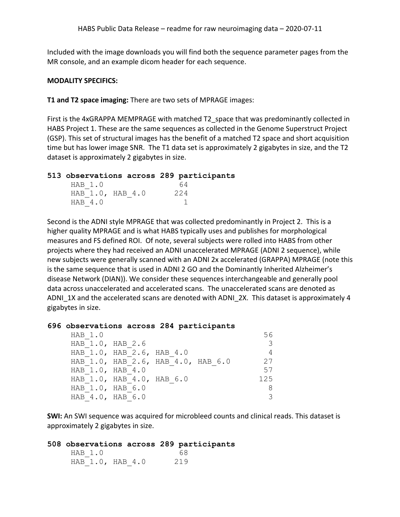Included with the image downloads you will find both the sequence parameter pages from the MR console, and an example dicom header for each sequence.

#### **MODALITY SPECIFICS:**

**T1 and T2 space imaging:** There are two sets of MPRAGE images:

First is the 4xGRAPPA MEMPRAGE with matched T2 space that was predominantly collected in HABS Project 1. These are the same sequences as collected in the Genome Superstruct Project (GSP). This set of structural images has the benefit of a matched T2 space and short acquisition time but has lower image SNR. The T1 data set is approximately 2 gigabytes in size, and the T2 dataset is approximately 2 gigabytes in size.

#### **513 observations across 289 participants**

| HAB 1.0          | 64  |
|------------------|-----|
| HAB 1.0, HAB 4.0 | 224 |
| HAB 4.0          |     |

Second is the ADNI style MPRAGE that was collected predominantly in Project 2. This is a higher quality MPRAGE and is what HABS typically uses and publishes for morphological measures and FS defined ROI. Of note, several subjects were rolled into HABS from other projects where they had received an ADNI unaccelerated MPRAGE (ADNI 2 sequence), while new subjects were generally scanned with an ADNI 2x accelerated (GRAPPA) MPRAGE (note this is the same sequence that is used in ADNI 2 GO and the Dominantly Inherited Alzheimer's disease Network (DIAN)). We consider these sequences interchangeable and generally pool data across unaccelerated and accelerated scans. The unaccelerated scans are denoted as ADNI\_1X and the accelerated scans are denoted with ADNI\_2X. This dataset is approximately 4 gigabytes in size.

#### **696 observations across 284 participants**

| HAB 1.0          |                                    |  |     |
|------------------|------------------------------------|--|-----|
| HAB 1.0, HAB 2.6 |                                    |  |     |
|                  | HAB 1.0, HAB 2.6, HAB 4.0          |  |     |
|                  | HAB 1.0, HAB 2.6, HAB 4.0, HAB 6.0 |  | 27  |
| HAB 1.0, HAB 4.0 |                                    |  | 57  |
|                  | HAB 1.0, HAB 4.0, HAB 6.0          |  | 125 |
| HAB 1.0, HAB 6.0 |                                    |  |     |
| HAB 4.0, HAB 6.0 |                                    |  |     |

**SWI:** An SWI sequence was acquired for microbleed counts and clinical reads. This dataset is approximately 2 gigabytes in size.

#### **508 observations across 289 participants**

HAB 1.0 68 HAB<sub>1.0</sub>, HAB<sub>4.0</sub> 219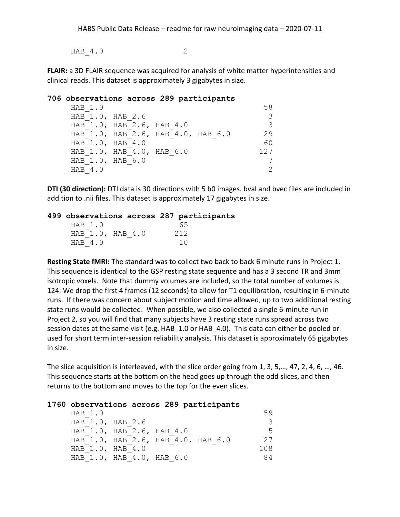HAB 4.0 2

**FLAIR:** a 3D FLAIR sequence was acquired for analysis of white matter hyperintensities and clinical reads. This dataset is approximately 3 gigabytes in size.

## **706 observations across 289 participants** HAB 1.0 58 HAB 1.0, HAB 2.6 3 HAB 1.0, HAB 2.6, HAB 4.0 3 HAB 1.0, HAB 2.6, HAB 4.0, HAB 6.0 29 HAB 1.0, HAB 4.0 60 HAB 1.0, HAB 4.0, HAB 6.0 127 HAB 1.0, HAB 6.0 7  $HAB$  4.0 2

**DTI (30 direction):** DTI data is 30 directions with 5 b0 images. bval and bvec files are included in addition to .nii files. This dataset is approximately 17 gigabytes in size.

### **499 observations across 287 participants**

| HAB 1.0          | 65  |
|------------------|-----|
| HAB 1.0, HAB 4.0 | 212 |
| HAB 4.0          | 1 N |

**Resting State fMRI:** The standard was to collect two back to back 6 minute runs in Project 1. This sequence is identical to the GSP resting state sequence and has a 3 second TR and 3mm isotropic voxels. Note that dummy volumes are included, so the total number of volumes is 124. We drop the first 4 frames (12 seconds) to allow for T1 equilibration, resulting in 6-minute runs. If there was concern about subject motion and time allowed, up to two additional resting state runs would be collected. When possible, we also collected a single 6-minute run in Project 2, so you will find that many subjects have 3 resting state runs spread across two session dates at the same visit (e.g. HAB 1.0 or HAB 4.0). This data can either be pooled or used for short term inter-session reliability analysis. This dataset is approximately 65 gigabytes in size.

The slice acquisition is interleaved, with the slice order going from 1, 3, 5,…, 47, 2, 4, 6, …, 46. This sequence starts at the bottom on the head goes up through the odd slices, and then returns to the bottom and moves to the top for the even slices.

#### **1760 observations across 289 participants**

| HAB 1.0          |                                    |  |     |
|------------------|------------------------------------|--|-----|
| HAB 1.0, HAB 2.6 |                                    |  |     |
|                  | HAB 1.0, HAB 2.6, HAB 4.0          |  | 5   |
|                  | HAB 1.0, HAB 2.6, HAB 4.0, HAB 6.0 |  | 27  |
| HAB 1.0, HAB 4.0 |                                    |  | 108 |
|                  | HAB 1.0, HAB 4.0, HAB 6.0          |  | 84  |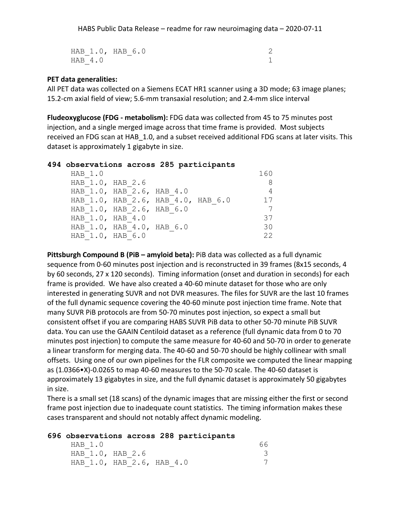HAB 1.0, HAB 6.0 2  $HAB$  4.0 1

# **PET data generalities:**

All PET data was collected on a Siemens ECAT HR1 scanner using a 3D mode; 63 image planes; 15.2-cm axial field of view; 5.6-mm transaxial resolution; and 2.4-mm slice interval

**Fludeoxyglucose (FDG - metabolism):** FDG data was collected from 45 to 75 minutes post injection, and a single merged image across that time frame is provided. Most subjects received an FDG scan at HAB\_1.0, and a subset received additional FDG scans at later visits. This dataset is approximately 1 gigabyte in size.

#### **494 observations across 285 participants**

| HAB 1.0 |                                    |  | 160 |
|---------|------------------------------------|--|-----|
|         | HAB 1.0, HAB 2.6                   |  |     |
|         | HAB 1.0, HAB 2.6, HAB 4.0          |  |     |
|         | HAB 1.0, HAB 2.6, HAB 4.0, HAB 6.0 |  | 17  |
|         | HAB 1.0, HAB 2.6, HAB 6.0          |  |     |
|         | HAB 1.0, HAB 4.0                   |  | 37  |
|         | HAB 1.0, HAB 4.0, HAB 6.0          |  | 30  |
|         | HAB 1.0, HAB 6.0                   |  | 22  |
|         |                                    |  |     |

**Pittsburgh Compound B (PiB – amyloid beta):** PiB data was collected as a full dynamic sequence from 0-60 minutes post injection and is reconstructed in 39 frames (8x15 seconds, 4 by 60 seconds, 27 x 120 seconds). Timing information (onset and duration in seconds) for each frame is provided. We have also created a 40-60 minute dataset for those who are only interested in generating SUVR and not DVR measures. The files for SUVR are the last 10 frames of the full dynamic sequence covering the 40-60 minute post injection time frame. Note that many SUVR PiB protocols are from 50-70 minutes post injection, so expect a small but consistent offset if you are comparing HABS SUVR PiB data to other 50-70 minute PiB SUVR data. You can use the GAAIN Centiloid dataset as a reference (full dynamic data from 0 to 70 minutes post injection) to compute the same measure for 40-60 and 50-70 in order to generate a linear transform for merging data. The 40-60 and 50-70 should be highly collinear with small offsets. Using one of our own pipelines for the FLR composite we computed the linear mapping as (1.0366•X)-0.0265 to map 40-60 measures to the 50-70 scale. The 40-60 dataset is approximately 13 gigabytes in size, and the full dynamic dataset is approximately 50 gigabytes in size.

There is a small set (18 scans) of the dynamic images that are missing either the first or second frame post injection due to inadequate count statistics. The timing information makes these cases transparent and should not notably affect dynamic modeling.

#### **696 observations across 288 participants**

| HAB 1.0 |                           |  |  |
|---------|---------------------------|--|--|
|         | HAB 1.0, HAB 2.6          |  |  |
|         | HAB 1.0, HAB 2.6, HAB 4.0 |  |  |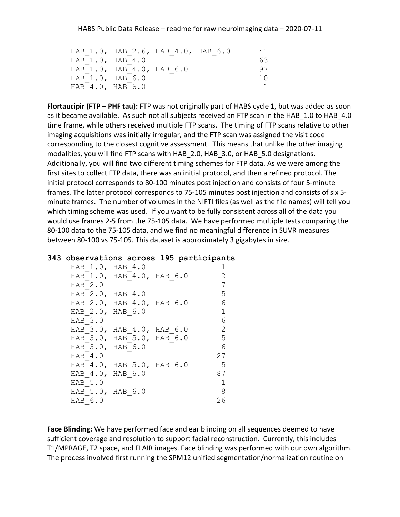|                  | HAB 1.0, HAB 2.6, HAB 4.0, HAB 6.0 |  | 41 |
|------------------|------------------------------------|--|----|
| HAB 1.0, HAB 4.0 |                                    |  | 63 |
|                  | HAB 1.0, HAB 4.0, HAB 6.0          |  | 97 |
| HAB 1.0, HAB 6.0 |                                    |  |    |
| HAB 4.0, HAB 6.0 |                                    |  |    |

**Flortaucipir (FTP – PHF tau):** FTP was not originally part of HABS cycle 1, but was added as soon as it became available. As such not all subjects received an FTP scan in the HAB 1.0 to HAB 4.0 time frame, while others received multiple FTP scans. The timing of FTP scans relative to other imaging acquisitions was initially irregular, and the FTP scan was assigned the visit code corresponding to the closest cognitive assessment. This means that unlike the other imaging modalities, you will find FTP scans with HAB\_2.0, HAB\_3.0, or HAB\_5.0 designations. Additionally, you will find two different timing schemes for FTP data. As we were among the first sites to collect FTP data, there was an initial protocol, and then a refined protocol. The initial protocol corresponds to 80-100 minutes post injection and consists of four 5-minute frames. The latter protocol corresponds to 75-105 minutes post injection and consists of six 5 minute frames. The number of volumes in the NIFTI files (as well as the file names) will tell you which timing scheme was used. If you want to be fully consistent across all of the data you would use frames 2-5 from the 75-105 data. We have performed multiple tests comparing the 80-100 data to the 75-105 data, and we find no meaningful difference in SUVR measures between 80-100 vs 75-105. This dataset is approximately 3 gigabytes in size.

#### **343 observations across 195 participants**

```
HAB 1.0, HAB 4.0 1
HAB 1.0, HAB 4.0, HAB 6.0 2
HAB 2.0 7
HAB 2.0, HAB 4.0 5
HAB 2.0, HAB 4.0, HAB 6.0 6
HAB 2.0, HAB 6.0 1
HAB 3.0 6
HAB 3.0, HAB 4.0, HAB 6.0 2
HAB 3.0, HAB 5.0, HAB 6.0 5
HAB 3.0, HAB 6.0 6
HAB 4.0 27
HAB 4.0, HAB 5.0, HAB 6.0 5
HAB 4.0, HAB 6.0 87
HAB 5.0 1
HAB 5.0, HAB 6.0 8
HAB 6.0 26
```
**Face Blinding:** We have performed face and ear blinding on all sequences deemed to have sufficient coverage and resolution to support facial reconstruction. Currently, this includes T1/MPRAGE, T2 space, and FLAIR images. Face blinding was performed with our own algorithm. The process involved first running the SPM12 unified segmentation/normalization routine on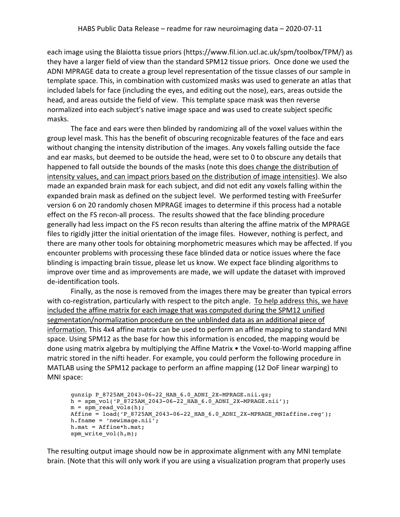each image using the Blaiotta tissue priors (https://www.fil.ion.ucl.ac.uk/spm/toolbox/TPM/) as they have a larger field of view than the standard SPM12 tissue priors. Once done we used the ADNI MPRAGE data to create a group level representation of the tissue classes of our sample in template space. This, in combination with customized masks was used to generate an atlas that included labels for face (including the eyes, and editing out the nose), ears, areas outside the head, and areas outside the field of view. This template space mask was then reverse normalized into each subject's native image space and was used to create subject specific masks.

The face and ears were then blinded by randomizing all of the voxel values within the group level mask. This has the benefit of obscuring recognizable features of the face and ears without changing the intensity distribution of the images. Any voxels falling outside the face and ear masks, but deemed to be outside the head, were set to 0 to obscure any details that happened to fall outside the bounds of the masks (note this does change the distribution of intensity values, and can impact priors based on the distribution of image intensities). We also made an expanded brain mask for each subject, and did not edit any voxels falling within the expanded brain mask as defined on the subject level. We performed testing with FreeSurfer version 6 on 20 randomly chosen MPRAGE images to determine if this process had a notable effect on the FS recon-all process. The results showed that the face blinding procedure generally had less impact on the FS recon results than altering the affine matrix of the MPRAGE files to rigidly jitter the initial orientation of the image files. However, nothing is perfect, and there are many other tools for obtaining morphometric measures which may be affected. If you encounter problems with processing these face blinded data or notice issues where the face blinding is impacting brain tissue, please let us know. We expect face blinding algorithms to improve over time and as improvements are made, we will update the dataset with improved de-identification tools.

Finally, as the nose is removed from the images there may be greater than typical errors with co-registration, particularly with respect to the pitch angle. To help address this, we have included the affine matrix for each image that was computed during the SPM12 unified segmentation/normalization procedure on the unblinded data as an additional piece of information. This 4x4 affine matrix can be used to perform an affine mapping to standard MNI space. Using SPM12 as the base for how this information is encoded, the mapping would be done using matrix algebra by multiplying the Affine Matrix • the Voxel-to-World mapping affine matric stored in the nifti header. For example, you could perform the following procedure in MATLAB using the SPM12 package to perform an affine mapping (12 DoF linear warping) to MNI space:

```
gunzip P_8725AM_2043-06-22_HAB_6.0_ADNI_2X-MPRAGE.nii.gz;
h = spm vol('P_8725AM_2043-06-22_HAB_6.0_ADNI_2X-MPRAGE.nii');
m = spm read vols(h);
Affine =\text{load}(P8725AM2043-06-22HAB6.0ADNI2X-MPRAGE_MNIaffine.read');h.fname = 'newimage.nii';
h.mat = Affine*h.mat;
spm write vol(h,m);
```
The resulting output image should now be in approximate alignment with any MNI template brain. (Note that this will only work if you are using a visualization program that properly uses